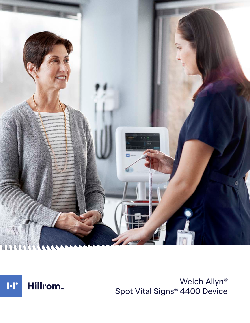



Welch Allyn® Spot Vital Signs® 4400 Device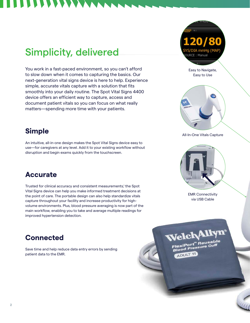# Simplicity, delivered

You work in a fast-paced environment, so you can't afford to slow down when it comes to capturing the basics. Our next-generation vital signs device is here to help. Experience simple, accurate vitals capture with a solution that fits smoothly into your daily routine. The Spot Vital Signs 4400 device offers an efficient way to capture, access and document patient vitals so you can focus on what really matters—spending more time with your patients.

## **Simple**

An intuitive, all-in-one design makes the Spot Vital Signs device easy to use—for caregivers at any level. Add it to your existing workflow without disruption and begin exams quickly from the touchscreen.

## **Accurate**

Trusted for clinical accuracy and consistent measurements,<sup>1</sup> the Spot Vital Signs device can help you make informed treatment decisions at the point of care. The portable design can also help standardize vitals capture throughout your facility and increase productivity for highvolume environments. Plus, blood pressure averaging is now part of the main workflow, enabling you to take and average multiple readings for improved hypertension detection.

## **Connected**

Save time and help reduce data entry errors by sending patient data to the EMR.



Easy to Navigate, Easy to Use



#### All-In-One Vitals Capture



EMR Connectivity via USB Cable

**Velch Allyn** 

FlexiPort Reusable FlexiPort" Reuse.<br>Blood Pressure Cuff

ADULT 11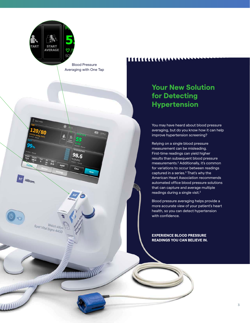

Spot 4400

20

99.

Height<br>72.0

Hillrom.

 $\circledcirc$ 

**TEMPERATURE**  $98.6$ 

PF (37.0°C)

Clear

Blood Pressure Averaging with One Tap

 $49.67\%$ 

Welch Allyn Spot Vital Signs 4400

## 11111111111111111

## **Your New Solution for Detecting Hypertension**

You may have heard about blood pressure averaging, but do you know how it can help improve hypertension screening?

Relying on a single blood pressure measurement can be misleading. First-time readings can yield higher results than subsequent blood pressure measurements.<sup>2</sup> Additionally, it's common for variations to occur between readings captured in a series.<sup>3</sup> That's why the American Heart Association recommends automated office blood pressure solutions that can capture and average multiple readings during a single visit.2

Blood pressure averaging helps provide a more accurate view of your patient's heart health, so you can detect hypertension with confidence.

**EXPERIENCE BLOOD PRESSURE READINGS YOU CAN BELIEVE IN.**